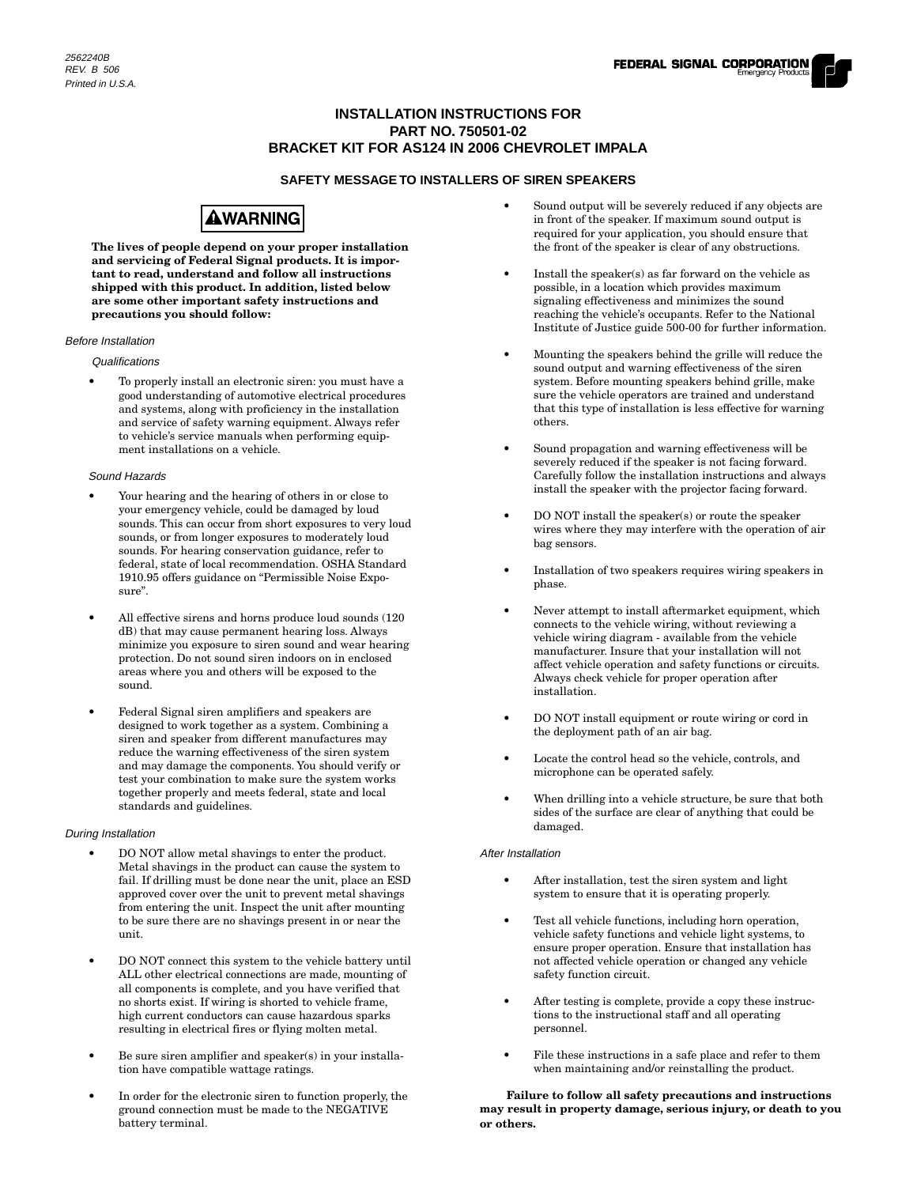## **INSTALLATION INSTRUCTIONS FOR PART NO. 750501-02 BRACKET KIT FOR AS124 IN 2006 CHEVROLET IMPALA**

### **SAFETY MESSAGE TO INSTALLERS OF SIREN SPEAKERS**



**The lives of people depend on your proper installation and servicing of Federal Signal products. It is important to read, understand and follow all instructions shipped with this product. In addition, listed below are some other important safety instructions and precautions you should follow:**

#### Before Installation

### **Qualifications**

• To properly install an electronic siren: you must have a good understanding of automotive electrical procedures and systems, along with proficiency in the installation and service of safety warning equipment. Always refer to vehicle's service manuals when performing equipment installations on a vehicle.

#### Sound Hazards

- Your hearing and the hearing of others in or close to your emergency vehicle, could be damaged by loud sounds. This can occur from short exposures to very loud sounds, or from longer exposures to moderately loud sounds. For hearing conservation guidance, refer to federal, state of local recommendation. OSHA Standard 1910.95 offers guidance on "Permissible Noise Exposure".
- All effective sirens and horns produce loud sounds (120 dB) that may cause permanent hearing loss. Always minimize you exposure to siren sound and wear hearing protection. Do not sound siren indoors on in enclosed areas where you and others will be exposed to the sound.
- Federal Signal siren amplifiers and speakers are designed to work together as a system. Combining a siren and speaker from different manufactures may reduce the warning effectiveness of the siren system and may damage the components. You should verify or test your combination to make sure the system works together properly and meets federal, state and local standards and guidelines.

### During Installation

- DO NOT allow metal shavings to enter the product. Metal shavings in the product can cause the system to fail. If drilling must be done near the unit, place an ESD approved cover over the unit to prevent metal shavings from entering the unit. Inspect the unit after mounting to be sure there are no shavings present in or near the unit.
- DO NOT connect this system to the vehicle battery until ALL other electrical connections are made, mounting of all components is complete, and you have verified that no shorts exist. If wiring is shorted to vehicle frame, high current conductors can cause hazardous sparks resulting in electrical fires or flying molten metal.
- Be sure siren amplifier and speaker(s) in your installation have compatible wattage ratings.
- In order for the electronic siren to function properly, the ground connection must be made to the NEGATIVE battery terminal.
- Sound output will be severely reduced if any objects are in front of the speaker. If maximum sound output is required for your application, you should ensure that the front of the speaker is clear of any obstructions.
- Install the speaker(s) as far forward on the vehicle as possible, in a location which provides maximum signaling effectiveness and minimizes the sound reaching the vehicle's occupants. Refer to the National Institute of Justice guide 500-00 for further information.
- Mounting the speakers behind the grille will reduce the sound output and warning effectiveness of the siren system. Before mounting speakers behind grille, make sure the vehicle operators are trained and understand that this type of installation is less effective for warning others.
- Sound propagation and warning effectiveness will be severely reduced if the speaker is not facing forward. Carefully follow the installation instructions and always install the speaker with the projector facing forward.
- DO NOT install the speaker(s) or route the speaker wires where they may interfere with the operation of air bag sensors.
- Installation of two speakers requires wiring speakers in phase.
- Never attempt to install aftermarket equipment, which connects to the vehicle wiring, without reviewing a vehicle wiring diagram - available from the vehicle manufacturer. Insure that your installation will not affect vehicle operation and safety functions or circuits. Always check vehicle for proper operation after installation.
- DO NOT install equipment or route wiring or cord in the deployment path of an air bag.
- Locate the control head so the vehicle, controls, and microphone can be operated safely.
- When drilling into a vehicle structure, be sure that both sides of the surface are clear of anything that could be damaged.

### After Installation

- After installation, test the siren system and light system to ensure that it is operating properly.
- Test all vehicle functions, including horn operation, vehicle safety functions and vehicle light systems, to ensure proper operation. Ensure that installation has not affected vehicle operation or changed any vehicle safety function circuit.
- After testing is complete, provide a copy these instructions to the instructional staff and all operating personnel.
- File these instructions in a safe place and refer to them when maintaining and/or reinstalling the product.

**Failure to follow all safety precautions and instructions may result in property damage, serious injury, or death to you or others.**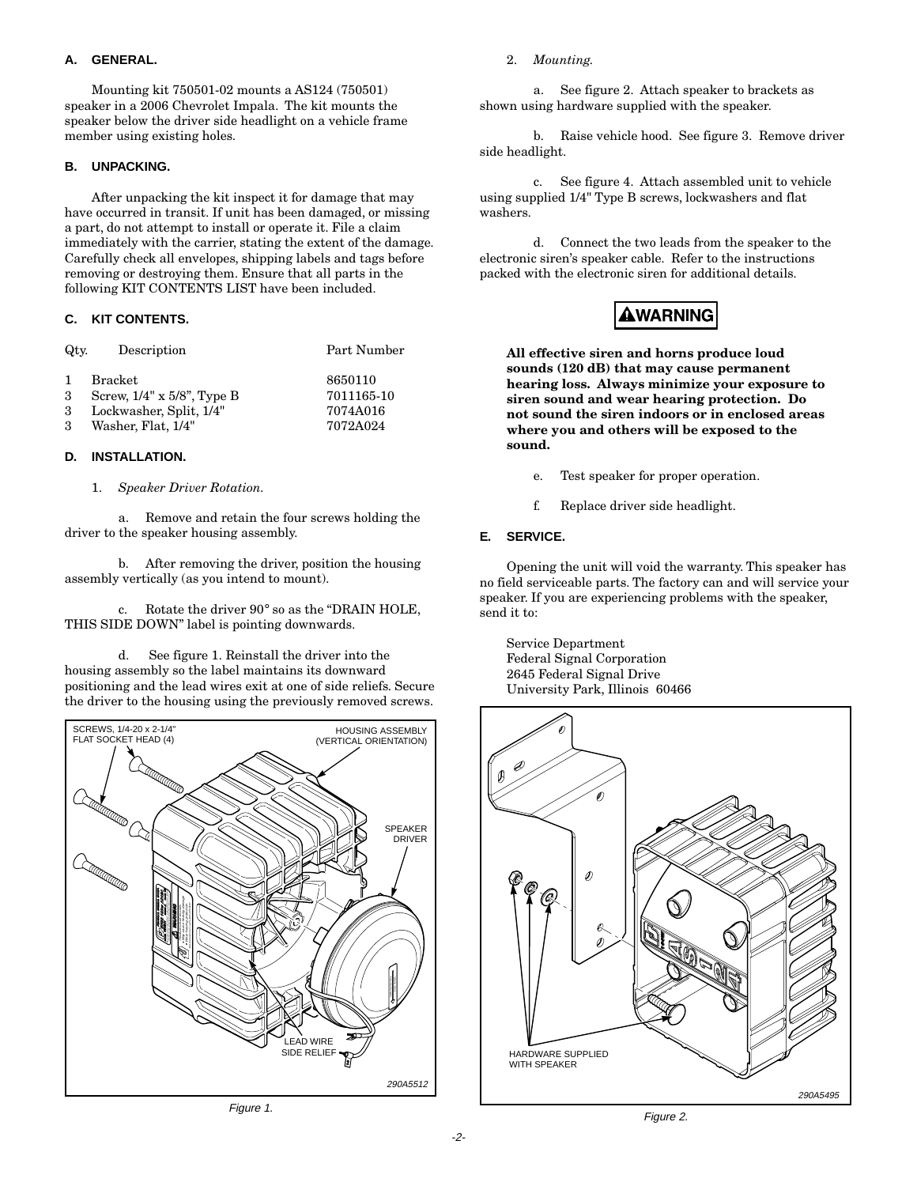### **A. GENERAL.**

Mounting kit 750501-02 mounts a AS124 (750501) speaker in a 2006 Chevrolet Impala. The kit mounts the speaker below the driver side headlight on a vehicle frame member using existing holes.

### **B. UNPACKING.**

After unpacking the kit inspect it for damage that may have occurred in transit. If unit has been damaged, or missing a part, do not attempt to install or operate it. File a claim immediately with the carrier, stating the extent of the damage. Carefully check all envelopes, shipping labels and tags before removing or destroying them. Ensure that all parts in the following KIT CONTENTS LIST have been included.

### **C. KIT CONTENTS.**

| Qtv.                        | Description                                                                                  | Part Number                                   |
|-----------------------------|----------------------------------------------------------------------------------------------|-----------------------------------------------|
| $\mathbf{1}$<br>3<br>3<br>3 | Bracket<br>Screw, $1/4$ " x $5/8$ ", Type B<br>Lockwasher, Split, 1/4"<br>Washer, Flat, 1/4" | 8650110<br>7011165-10<br>7074A016<br>7072A024 |
|                             |                                                                                              |                                               |

### **D. INSTALLATION.**

### 1. *Speaker Driver Rotation.*

a. Remove and retain the four screws holding the driver to the speaker housing assembly.

b. After removing the driver, position the housing assembly vertically (as you intend to mount).

c. Rotate the driver 90° so as the "DRAIN HOLE, THIS SIDE DOWN" label is pointing downwards.

d. See figure 1. Reinstall the driver into the housing assembly so the label maintains its downward positioning and the lead wires exit at one of side reliefs. Secure the driver to the housing using the previously removed screws.



Figure 1.

### 2. *Mounting.*

a. See figure 2. Attach speaker to brackets as shown using hardware supplied with the speaker.

b. Raise vehicle hood. See figure 3. Remove driver side headlight.

c. See figure 4. Attach assembled unit to vehicle using supplied 1/4" Type B screws, lockwashers and flat washers.

d. Connect the two leads from the speaker to the electronic siren's speaker cable. Refer to the instructions packed with the electronic siren for additional details.

## AWARNING

**All effective siren and horns produce loud sounds (120 dB) that may cause permanent hearing loss. Always minimize your exposure to siren sound and wear hearing protection. Do not sound the siren indoors or in enclosed areas where you and others will be exposed to the sound.**

- e. Test speaker for proper operation.
- f. Replace driver side headlight.

### **E. SERVICE.**

Opening the unit will void the warranty. This speaker has no field serviceable parts. The factory can and will service your speaker. If you are experiencing problems with the speaker, send it to:

Service Department Federal Signal Corporation 2645 Federal Signal Drive University Park, Illinois 60466



Figure 2.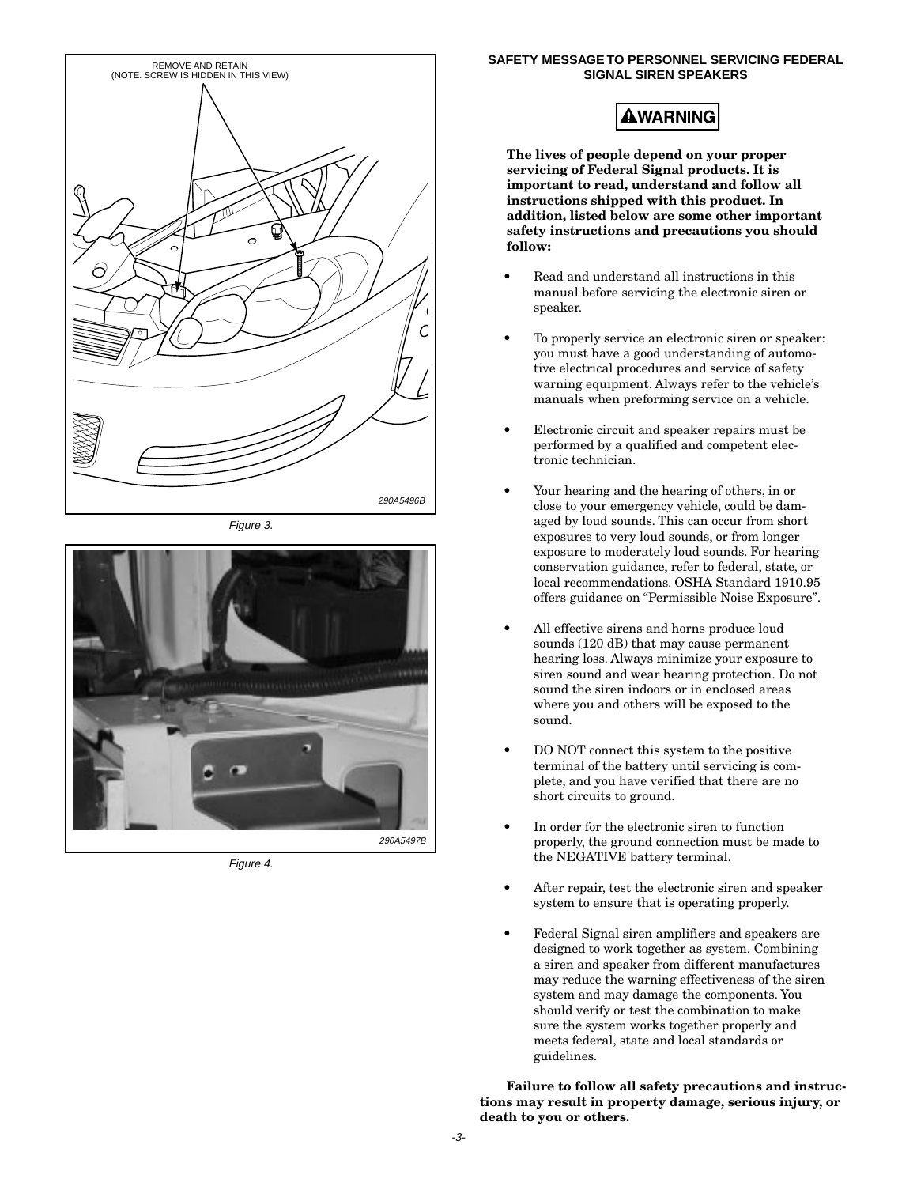

Figure 3.



Figure 4.

### **SAFETY MESSAGE TO PERSONNEL SERVICING FEDERAL SIGNAL SIREN SPEAKERS**

## **AWARNING**

**The lives of people depend on your proper servicing of Federal Signal products. It is important to read, understand and follow all instructions shipped with this product. In addition, listed below are some other important safety instructions and precautions you should follow:**

- Read and understand all instructions in this manual before servicing the electronic siren or speaker.
- To properly service an electronic siren or speaker: you must have a good understanding of automotive electrical procedures and service of safety warning equipment. Always refer to the vehicle's manuals when preforming service on a vehicle.
- Electronic circuit and speaker repairs must be performed by a qualified and competent electronic technician.
- Your hearing and the hearing of others, in or close to your emergency vehicle, could be damaged by loud sounds. This can occur from short exposures to very loud sounds, or from longer exposure to moderately loud sounds. For hearing conservation guidance, refer to federal, state, or local recommendations. OSHA Standard 1910.95 offers guidance on "Permissible Noise Exposure".
- All effective sirens and horns produce loud sounds (120 dB) that may cause permanent hearing loss. Always minimize your exposure to siren sound and wear hearing protection. Do not sound the siren indoors or in enclosed areas where you and others will be exposed to the sound.
- DO NOT connect this system to the positive terminal of the battery until servicing is complete, and you have verified that there are no short circuits to ground.
- In order for the electronic siren to function properly, the ground connection must be made to the NEGATIVE battery terminal.
- After repair, test the electronic siren and speaker system to ensure that is operating properly.
- Federal Signal siren amplifiers and speakers are designed to work together as system. Combining a siren and speaker from different manufactures may reduce the warning effectiveness of the siren system and may damage the components. You should verify or test the combination to make sure the system works together properly and meets federal, state and local standards or guidelines.

**Failure to follow all safety precautions and instructions may result in property damage, serious injury, or death to you or others.**